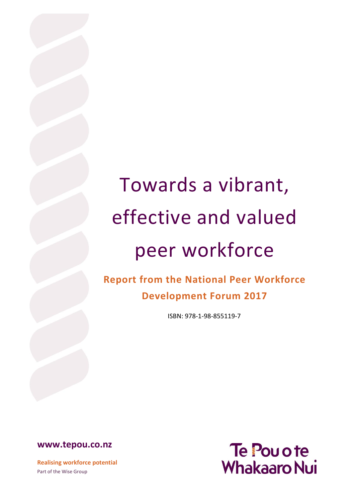# Towards a vibrant, effective and valued peer workforce

**Report from the National Peer Workforce Development Forum 2017**

ISBN: 978-1-98-855119-7

**[www.tepou.co.nz](http://www.tepou.co.nz/)**

**Realising workforce potential** Part of the Wise Group

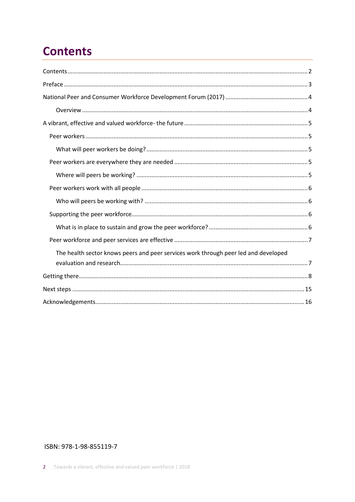# **Contents**

| The health sector knows peers and peer services work through peer led and developed |
|-------------------------------------------------------------------------------------|
|                                                                                     |
|                                                                                     |
|                                                                                     |
|                                                                                     |

#### ISBN: 978-1-98-855119-7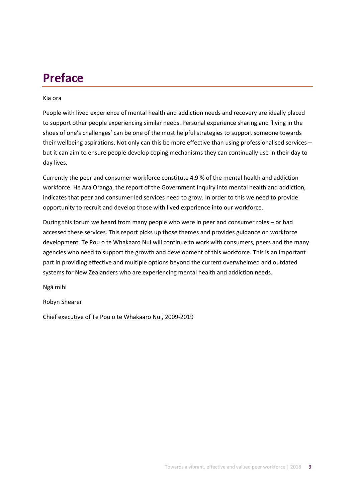# **Preface**

#### Kia ora

People with lived experience of mental health and addiction needs and recovery are ideally placed to support other people experiencing similar needs. Personal experience sharing and 'living in the shoes of one's challenges' can be one of the most helpful strategies to support someone towards their wellbeing aspirations. Not only can this be more effective than using professionalised services – but it can aim to ensure people develop coping mechanisms they can continually use in their day to day lives.

Currently the peer and consumer workforce constitute 4.9 % of the mental health and addiction workforce. He Ara Oranga, the report of the Government Inquiry into mental health and addiction, indicates that peer and consumer led services need to grow. In order to this we need to provide opportunity to recruit and develop those with lived experience into our workforce.

During this forum we heard from many people who were in peer and consumer roles – or had accessed these services. This report picks up those themes and provides guidance on workforce development. Te Pou o te Whakaaro Nui will continue to work with consumers, peers and the many agencies who need to support the growth and development of this workforce. This is an important part in providing effective and multiple options beyond the current overwhelmed and outdated systems for New Zealanders who are experiencing mental health and addiction needs.

Ngā mihi

Robyn Shearer

Chief executive of Te Pou o te Whakaaro Nui, 2009-2019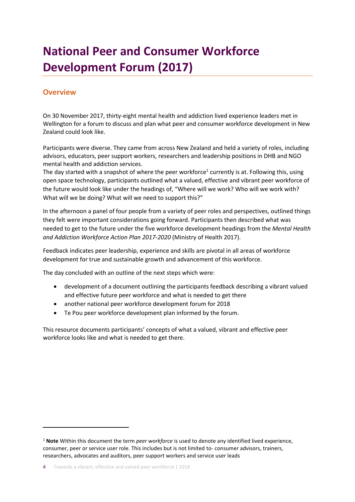# **National Peer and Consumer Workforce Development Forum (2017)**

#### **Overview**

On 30 November 2017, thirty-eight mental health and addiction lived experience leaders met in Wellington for a forum to discuss and plan what peer and consumer workforce development in New Zealand could look like.

Participants were diverse. They came from across New Zealand and held a variety of roles, including advisors, educators, peer support workers, researchers and leadership positions in DHB and NGO mental health and addiction services.

The day started with a snapshot of where the peer workforce<sup>1</sup> currently is at. Following this, using open space technology, participants outlined what a valued, effective and vibrant peer workforce of the future would look like under the headings of, "Where will we work? Who will we work with? What will we be doing? What will we need to support this?"

In the afternoon a panel of four people from a variety of peer roles and perspectives, outlined things they felt were important considerations going forward. Participants then described what was needed to get to the future under the five workforce development headings from the *Mental Health and Addiction Workforce Action Plan 2017-2020* (Ministry of Health 2017).

Feedback indicates peer leadership, experience and skills are pivotal in all areas of workforce development for true and sustainable growth and advancement of this workforce.

The day concluded with an outline of the next steps which were:

- development of a document outlining the participants feedback describing a vibrant valued and effective future peer workforce and what is needed to get there
- another national peer workforce development forum for 2018
- Te Pou peer workforce development plan informed by the forum.

This resource documents participants' concepts of what a valued, vibrant and effective peer workforce looks like and what is needed to get there.

<sup>1</sup> **Note** Within this document the term *peer workforce* is used to denote any identified lived experience, consumer, peer or service user role. This includes but is not limited to- consumer advisors, trainers, researchers, advocates and auditors, peer support workers and service user leads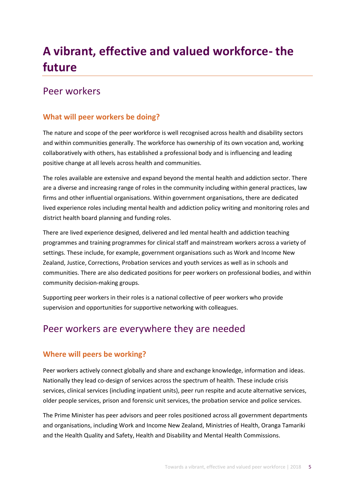# **A vibrant, effective and valued workforce- the future**

### Peer workers

### **What will peer workers be doing?**

The nature and scope of the peer workforce is well recognised across health and disability sectors and within communities generally. The workforce has ownership of its own vocation and, working collaboratively with others, has established a professional body and is influencing and leading positive change at all levels across health and communities.

The roles available are extensive and expand beyond the mental health and addiction sector. There are a diverse and increasing range of roles in the community including within general practices, law firms and other influential organisations. Within government organisations, there are dedicated lived experience roles including mental health and addiction policy writing and monitoring roles and district health board planning and funding roles.

There are lived experience designed, delivered and led mental health and addiction teaching programmes and training programmes for clinical staff and mainstream workers across a variety of settings. These include, for example, government organisations such as Work and Income New Zealand, Justice, Corrections, Probation services and youth services as well as in schools and communities. There are also dedicated positions for peer workers on professional bodies, and within community decision-making groups.

Supporting peer workers in their roles is a national collective of peer workers who provide supervision and opportunities for supportive networking with colleagues.

# Peer workers are everywhere they are needed

### **Where will peers be working?**

Peer workers actively connect globally and share and exchange knowledge, information and ideas. Nationally they lead co-design of services across the spectrum of health. These include crisis services, clinical services (including inpatient units), peer run respite and acute alternative services, older people services, prison and forensic unit services, the probation service and police services.

The Prime Minister has peer advisors and peer roles positioned across all government departments and organisations, including Work and Income New Zealand, Ministries of Health, Oranga Tamariki and the Health Quality and Safety, Health and Disability and Mental Health Commissions.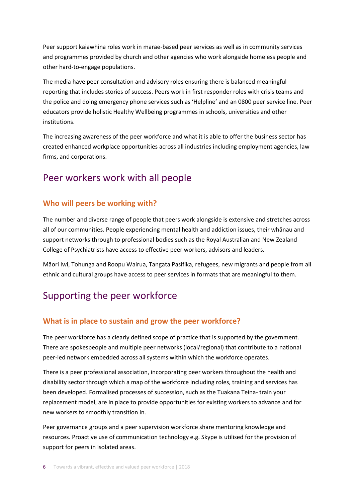Peer support kaiawhina roles work in marae-based peer services as well as in community services and programmes provided by church and other agencies who work alongside homeless people and other hard-to-engage populations.

The media have peer consultation and advisory roles ensuring there is balanced meaningful reporting that includes stories of success. Peers work in first responder roles with crisis teams and the police and doing emergency phone services such as 'Helpline' and an 0800 peer service line. Peer educators provide holistic Healthy Wellbeing programmes in schools, universities and other institutions.

The increasing awareness of the peer workforce and what it is able to offer the business sector has created enhanced workplace opportunities across all industries including employment agencies, law firms, and corporations.

### Peer workers work with all people

#### **Who will peers be working with?**

The number and diverse range of people that peers work alongside is extensive and stretches across all of our communities. People experiencing mental health and addiction issues, their whānau and support networks through to professional bodies such as the Royal Australian and New Zealand College of Psychiatrists have access to effective peer workers, advisors and leaders.

Māori Iwi, Tohunga and Roopu Wairua, Tangata Pasifika, refugees, new migrants and people from all ethnic and cultural groups have access to peer services in formats that are meaningful to them.

## Supporting the peer workforce

#### **What is in place to sustain and grow the peer workforce?**

The peer workforce has a clearly defined scope of practice that is supported by the government. There are spokespeople and multiple peer networks (local/regional) that contribute to a national peer-led network embedded across all systems within which the workforce operates.

There is a peer professional association, incorporating peer workers throughout the health and disability sector through which a map of the workforce including roles, training and services has been developed. Formalised processes of succession, such as the Tuakana Teina- train your replacement model, are in place to provide opportunities for existing workers to advance and for new workers to smoothly transition in.

Peer governance groups and a peer supervision workforce share mentoring knowledge and resources. Proactive use of communication technology e.g. Skype is utilised for the provision of support for peers in isolated areas.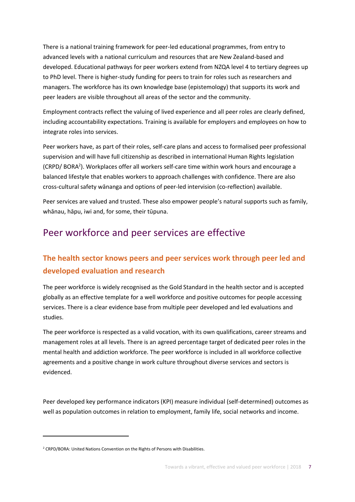There is a national training framework for peer-led educational programmes, from entry to advanced levels with a national curriculum and resources that are New Zealand-based and developed. Educational pathways for peer workers extend from NZQA level 4 to tertiary degrees up to PhD level. There is higher-study funding for peers to train for roles such as researchers and managers. The workforce has its own knowledge base (epistemology) that supports its work and peer leaders are visible throughout all areas of the sector and the community.

Employment contracts reflect the valuing of lived experience and all peer roles are clearly defined, including accountability expectations. Training is available for employers and employees on how to integrate roles into services.

Peer workers have, as part of their roles, self-care plans and access to formalised peer professional supervision and will have full citizenship as described in international Human Rights legislation (CRPD/ BORA<sup>2</sup>). Workplaces offer all workers self-care time within work hours and encourage a balanced lifestyle that enables workers to approach challenges with confidence. There are also cross-cultural safety wānanga and options of peer-led intervision (co-reflection) available.

Peer services are valued and trusted. These also empower people's natural supports such as family, whānau, hāpu, iwi and, for some, their tūpuna.

# Peer workforce and peer services are effective

### **The health sector knows peers and peer services work through peer led and developed evaluation and research**

The peer workforce is widely recognised as the Gold Standard in the health sector and is accepted globally as an effective template for a well workforce and positive outcomes for people accessing services. There is a clear evidence base from multiple peer developed and led evaluations and studies.

The peer workforce is respected as a valid vocation, with its own qualifications, career streams and management roles at all levels. There is an agreed percentage target of dedicated peer roles in the mental health and addiction workforce. The peer workforce is included in all workforce collective agreements and a positive change in work culture throughout diverse services and sectors is evidenced.

Peer developed key performance indicators (KPI) measure individual (self-determined) outcomes as well as population outcomes in relation to employment, family life, social networks and income.

<sup>&</sup>lt;sup>2</sup> CRPD/BORA: United Nations Convention on the Rights of Persons with Disabilities.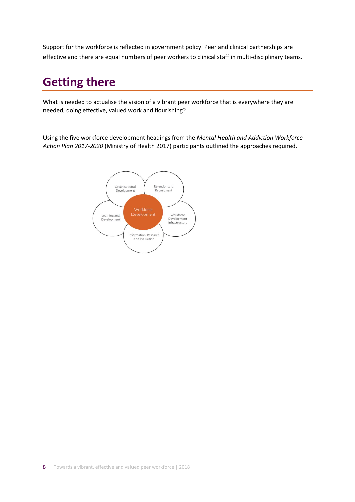Support for the workforce is reflected in government policy. Peer and clinical partnerships are effective and there are equal numbers of peer workers to clinical staff in multi-disciplinary teams.

# **Getting there**

What is needed to actualise the vision of a vibrant peer workforce that is everywhere they are needed, doing effective, valued work and flourishing?

Using the five workforce development headings from the *Mental Health and Addiction Workforce Action Plan 2017-2020* (Ministry of Health 2017) participants outlined the approaches required.

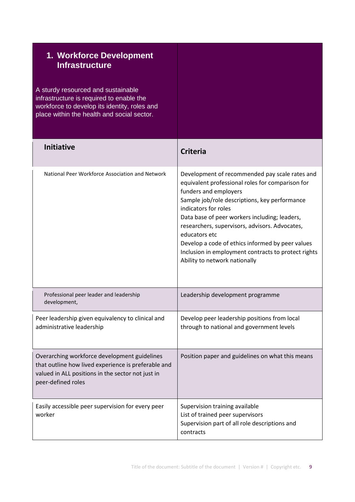| 1. Workforce Development<br><b>Infrastructure</b><br>A sturdy resourced and sustainable<br>infrastructure is required to enable the<br>workforce to develop its identity, roles and<br>place within the health and social sector. |                                                                                                                                                                                                                                                                                                                                                                                                                                                                      |
|-----------------------------------------------------------------------------------------------------------------------------------------------------------------------------------------------------------------------------------|----------------------------------------------------------------------------------------------------------------------------------------------------------------------------------------------------------------------------------------------------------------------------------------------------------------------------------------------------------------------------------------------------------------------------------------------------------------------|
| <b>Initiative</b>                                                                                                                                                                                                                 | <b>Criteria</b>                                                                                                                                                                                                                                                                                                                                                                                                                                                      |
| National Peer Workforce Association and Network                                                                                                                                                                                   | Development of recommended pay scale rates and<br>equivalent professional roles for comparison for<br>funders and employers<br>Sample job/role descriptions, key performance<br>indicators for roles<br>Data base of peer workers including; leaders,<br>researchers, supervisors, advisors. Advocates,<br>educators etc<br>Develop a code of ethics informed by peer values<br>Inclusion in employment contracts to protect rights<br>Ability to network nationally |
| Professional peer leader and leadership<br>development,                                                                                                                                                                           | Leadership development programme                                                                                                                                                                                                                                                                                                                                                                                                                                     |
| Peer leadership given equivalency to clinical and<br>administrative leadership                                                                                                                                                    | Develop peer leadership positions from local<br>through to national and government levels                                                                                                                                                                                                                                                                                                                                                                            |
| Overarching workforce development guidelines<br>that outline how lived experience is preferable and<br>valued in ALL positions in the sector not just in<br>peer-defined roles                                                    | Position paper and guidelines on what this means                                                                                                                                                                                                                                                                                                                                                                                                                     |
| Easily accessible peer supervision for every peer<br>worker                                                                                                                                                                       | Supervision training available<br>List of trained peer supervisors<br>Supervision part of all role descriptions and<br>contracts                                                                                                                                                                                                                                                                                                                                     |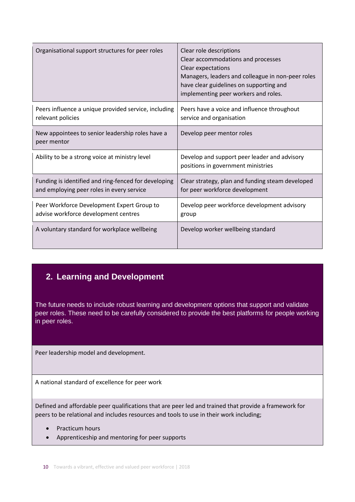| Organisational support structures for peer roles                                                  | Clear role descriptions<br>Clear accommodations and processes<br>Clear expectations<br>Managers, leaders and colleague in non-peer roles<br>have clear guidelines on supporting and<br>implementing peer workers and roles. |
|---------------------------------------------------------------------------------------------------|-----------------------------------------------------------------------------------------------------------------------------------------------------------------------------------------------------------------------------|
| Peers influence a unique provided service, including<br>relevant policies                         | Peers have a voice and influence throughout<br>service and organisation                                                                                                                                                     |
| New appointees to senior leadership roles have a<br>peer mentor                                   | Develop peer mentor roles                                                                                                                                                                                                   |
| Ability to be a strong voice at ministry level                                                    | Develop and support peer leader and advisory<br>positions in government ministries                                                                                                                                          |
| Funding is identified and ring-fenced for developing<br>and employing peer roles in every service | Clear strategy, plan and funding steam developed<br>for peer workforce development                                                                                                                                          |
| Peer Workforce Development Expert Group to<br>advise workforce development centres                | Develop peer workforce development advisory<br>group                                                                                                                                                                        |
| A voluntary standard for workplace wellbeing                                                      | Develop worker wellbeing standard                                                                                                                                                                                           |

### **2. Learning and Development**

The future needs to include robust learning and development options that support and validate peer roles. These need to be carefully considered to provide the best platforms for people working in peer roles.

Peer leadership model and development.

A national standard of excellence for peer work

Defined and affordable peer qualifications that are peer led and trained that provide a framework for peers to be relational and includes resources and tools to use in their work including;

- Practicum hours
- Apprenticeship and mentoring for peer supports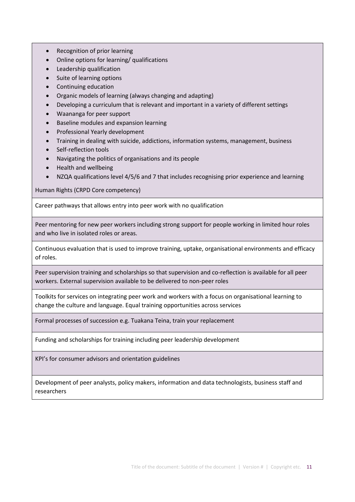- Recognition of prior learning
- Online options for learning/ qualifications
- Leadership qualification
- Suite of learning options
- Continuing education
- Organic models of learning (always changing and adapting)
- Developing a curriculum that is relevant and important in a variety of different settings
- Waananga for peer support
- Baseline modules and expansion learning
- Professional Yearly development
- Training in dealing with suicide, addictions, information systems, management, business
- Self-reflection tools
- Navigating the politics of organisations and its people
- Health and wellbeing
- NZQA qualifications level 4/5/6 and 7 that includes recognising prior experience and learning

Human Rights (CRPD Core competency)

Career pathways that allows entry into peer work with no qualification

Peer mentoring for new peer workers including strong support for people working in limited hour roles and who live in isolated roles or areas.

Continuous evaluation that is used to improve training, uptake, organisational environments and efficacy of roles.

Peer supervision training and scholarships so that supervision and co-reflection is available for all peer workers. External supervision available to be delivered to non-peer roles

Toolkits for services on integrating peer work and workers with a focus on organisational learning to change the culture and language. Equal training opportunities across services

Formal processes of succession e.g. Tuakana Teina, train your replacement

Funding and scholarships for training including peer leadership development

KPI's for consumer advisors and orientation guidelines

Development of peer analysts, policy makers, information and data technologists, business staff and researchers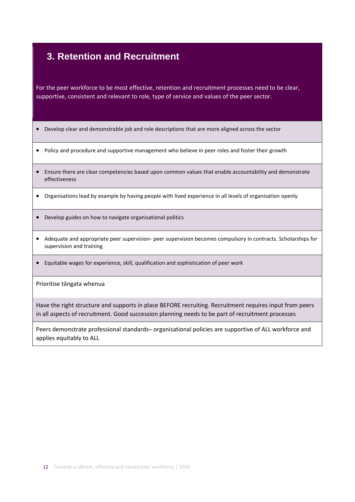### **3. Retention and Recruitment**

For the peer workforce to be most effective, retention and recruitment processes need to be clear, supportive, consistent and relevant to role, type of service and values of the peer sector.

- Develop clear and demonstrable job and role descriptions that are more aligned across the sector
- Policy and procedure and supportive management who believe in peer roles and foster their growth
- Ensure there are clear competencies based upon common values that enable accountability and demonstrate effectiveness
- Organisations lead by example by having people with lived experience in all levels of organisation openly
- Develop guides on how to navigate organisational politics
- Adequate and appropriate peer supervision- peer supervision becomes compulsory in contracts. Scholarships for supervision and training
- Equitable wages for experience, skill, qualification and sophistication of peer work

Prioritise tāngata whenua

Have the right structure and supports in place BEFORE recruiting. Recruitment requires input from peers in all aspects of recruitment. Good succession planning needs to be part of recruitment processes

Peers demonstrate professional standards– organisational policies are supportive of ALL workforce and applies equitably to ALL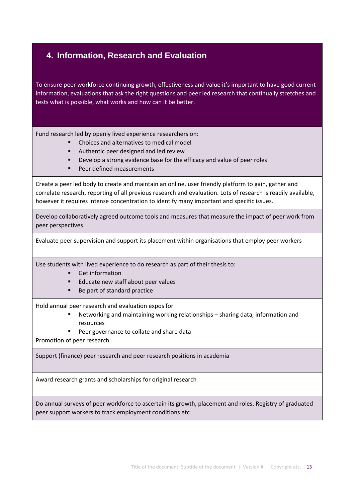### **4. Information, Research and Evaluation**

To ensure peer workforce continuing growth, effectiveness and value it's important to have good current information, evaluations that ask the right questions and peer led research that continually stretches and tests what is possible, what works and how can it be better.

Fund research led by openly lived experience researchers on:

- Choices and alternatives to medical model
- Authentic peer designed and led review
- Develop a strong evidence base for the efficacy and value of peer roles
- Peer defined measurements

Create a peer led body to create and maintain an online, user friendly platform to gain, gather and correlate research, reporting of all previous research and evaluation. Lots of research is readily available, however it requires intense concentration to identify many important and specific issues.

Develop collaboratively agreed outcome tools and measures that measure the impact of peer work from peer perspectives

Evaluate peer supervision and support its placement within organisations that employ peer workers

Use students with lived experience to do research as part of their thesis to:

- Get information
- Educate new staff about peer values
- Be part of standard practice

Hold annual peer research and evaluation expos for

- Networking and maintaining working relationships sharing data, information and resources
- Peer governance to collate and share data

Promotion of peer research

Support (finance) peer research and peer research positions in academia

Award research grants and scholarships for original research

Do annual surveys of peer workforce to ascertain its growth, placement and roles. Registry of graduated peer support workers to track employment conditions etc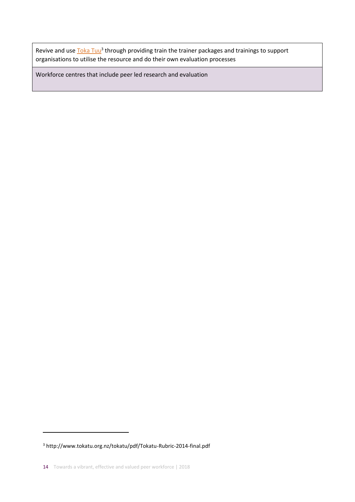Revive and use **Toka Tuu<sup>3</sup> through providing train the trainer packages and trainings to support** organisations to utilise the resource and do their own evaluation processes

Workforce centres that include peer led research and evaluation

<sup>3</sup> http://www.tokatu.org.nz/tokatu/pdf/Tokatu-Rubric-2014-final.pdf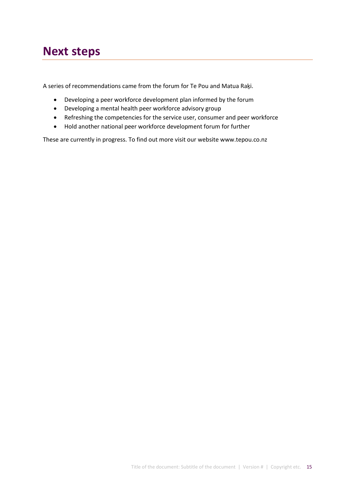# **Next steps**

A series of recommendations came from the forum for Te Pou and Matua Raḵi.

- Developing a peer workforce development plan informed by the forum
- Developing a mental health peer workforce advisory group
- Refreshing the competencies for the service user, consumer and peer workforce
- Hold another national peer workforce development forum for further

These are currently in progress. To find out more visit our website www.tepou.co.nz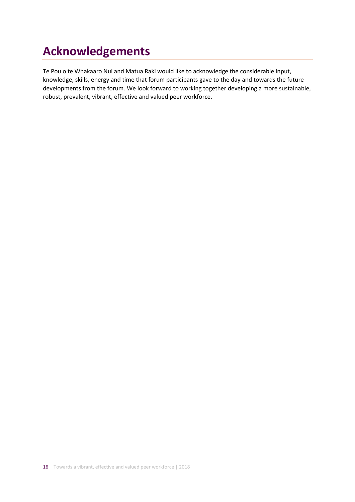# **Acknowledgements**

Te Pou o te Whakaaro Nui and Matua Raki would like to acknowledge the considerable input, knowledge, skills, energy and time that forum participants gave to the day and towards the future developments from the forum. We look forward to working together developing a more sustainable, robust, prevalent, vibrant, effective and valued peer workforce.